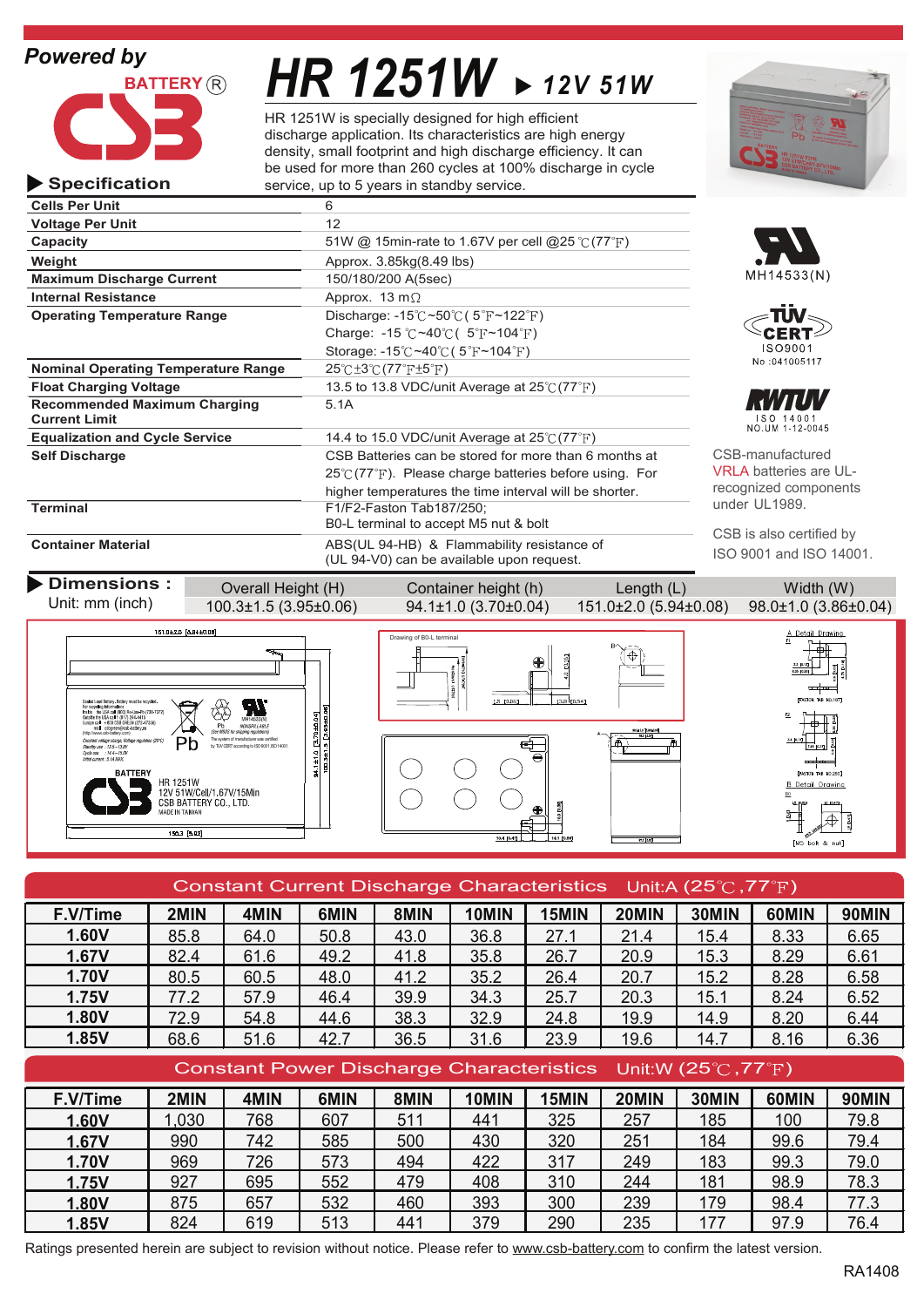### *Powered by*

**Specification**



**Operating Temperature Range**

**Current Limit**

**Cells Per Unit** 6 **Voltage Per Unit** 12

**Recommended Maximum Charging** 5.1A

# *HR 1251W 12V 51W*

HR 1251W is specially designed for high efficient discharge application. Its characteristics are high energy density, small footprint and high discharge efficiency. It can be used for more than 260 cycles at 100% discharge in cycle service, up to 5 years in standby service.







150 14001<br>NO.UM 1-12-0045

CSB-manufactured VRI A batteries are ULrecognized components under UL1989.

CSB is also certified by

**Container Material** ABS(UL 94-HB) & Flammability resistance of ISO 9001 and ISO 14001. (UL 94-V0) can be available upon request. **Dimensions :** Overall Height (H) Container height (h) Length (L) Width (W) Unit: mm (inch) 100.3±1.5 (3.95±0.06) 94.1±1.0 (3.70±0.04) 151.0±2.0 (5.94±0.08) 98.0±1.0 (3.86±0.04) 151.0±2.0 [5.94±0.08] tail Drawina on of B0-L te

B0-L terminal to accept M5 nut & bolt

Discharge:  $-15^{\circ}\text{C} \sim 50^{\circ}\text{C}$  (  $5^{\circ}\text{F} \sim 122^{\circ}\text{F}$ ) Charge: -15 °C ~40 °C ( $5$  °F ~104 °F) Storage: -15 $\degree$ C ~40 $\degree$ C (5 $\degree$ F ~104 $\degree$ F)

**Self Discharge** CSB Batteries can be stored for more than 6 months at  $25^{\circ}$  (77 $^{\circ}$ F). Please charge batteries before using. For higher temperatures the time interval will be shorter.



**Capacity** 51W @ 15min-rate to 1.67V per cell @25 ℃ (77 <sup>°</sup>F)

**Float Charging Voltage** 13.5 to 13.8 VDC/unit Average at 25°C (77°F)

**Equalization and Cycle Service** 14.4 to 15.0 VDC/unit Average at 25 °C(77 <sup>°</sup>F)<br> **Self Discharge** CSB Batteries can be stored for more than 6

**Weight Approx.** 3.85kg(8.49 lbs) **Maximum Discharge Current** 150/180/200 A(5sec) **Internal Resistance** Approx. 13 m $\Omega$ 

**Nominal Operating Temperature Range**  $25^\circ \text{C} \pm 3^\circ \text{C}$  **(77°F** $\pm 5^\circ$ **F)** 

**Terminal** F1/F2-Faston Tab187/250;



| Constant Current Discharge Characteristics Unit: A (25 $\degree$ C, 77 $\degree$ F) |      |      |      |      |       |       |       |                |       |              |
|-------------------------------------------------------------------------------------|------|------|------|------|-------|-------|-------|----------------|-------|--------------|
| F.V/Time                                                                            | 2MIN | 4MIN | 6MIN | 8MIN | 10MIN | 15MIN | 20MIN | 30MIN          | 60MIN | <b>90MIN</b> |
| 1.60V                                                                               | 85.8 | 64.0 | 50.8 | 43.0 | 36.8  | 27.1  | 21.4  | 15.4           | 8.33  | 6.65         |
| 1.67V                                                                               | 82.4 | 61.6 | 49.2 | 41.8 | 35.8  | 26.7  | 20.9  | 15.3           | 8.29  | 6.61         |
| <b>1.70V</b>                                                                        | 80.5 | 60.5 | 48.0 | 41.2 | 35.2  | 26.4  | 20.7  | 15.2           | 8.28  | 6.58         |
| 1.75V                                                                               | 77.2 | 57.9 | 46.4 | 39.9 | 34.3  | 25.7  | 20.3  | 15.1           | 8.24  | 6.52         |
| 1.80V                                                                               | 72.9 | 54.8 | 44.6 | 38.3 | 32.9  | 24.8  | 19.9  | 14.9           | 8.20  | 6.44         |
| 1.85V                                                                               | 68.6 | 51.6 | 42.7 | 36.5 | 31.6  | 23.9  | 19.6  | 14.7           | 8.16  | 6.36         |
|                                                                                     |      |      |      |      |       |       |       | ______________ |       |              |

#### Constant Power Discharge Characteristics Unit:W (25°C,77°F)

| F.V/Time     | 2MIN | 4MIN | 6MIN | 8MIN | 10MIN | 15MIN | 20MIN | 30MIN | 60MIN | 90MIN |
|--------------|------|------|------|------|-------|-------|-------|-------|-------|-------|
| 1.60V        | .030 | 768  | 607  | 511  | 441   | 325   | 257   | 185   | 100   | 79.8  |
| 1.67V        | 990  | 742  | 585  | 500  | 430   | 320   | 251   | 184   | 99.6  | 79.4  |
| <b>1.70V</b> | 969  | 726  | 573  | 494  | 422   | 317   | 249   | 183   | 99.3  | 79.0  |
| 1.75V        | 927  | 695  | 552  | 479  | 408   | 310   | 244   | 181   | 98.9  | 78.3  |
| 1.80V        | 875  | 657  | 532  | 460  | 393   | 300   | 239   | 179   | 98.4  | 77.3  |
| 1.85V        | 824  | 619  | 513  | 441  | 379   | 290   | 235   | 177   | 97.9  | 76.4  |

Ratings presented herein are subject to revision without notice. Please refer to www.csb-battery.com to confirm the latest version.